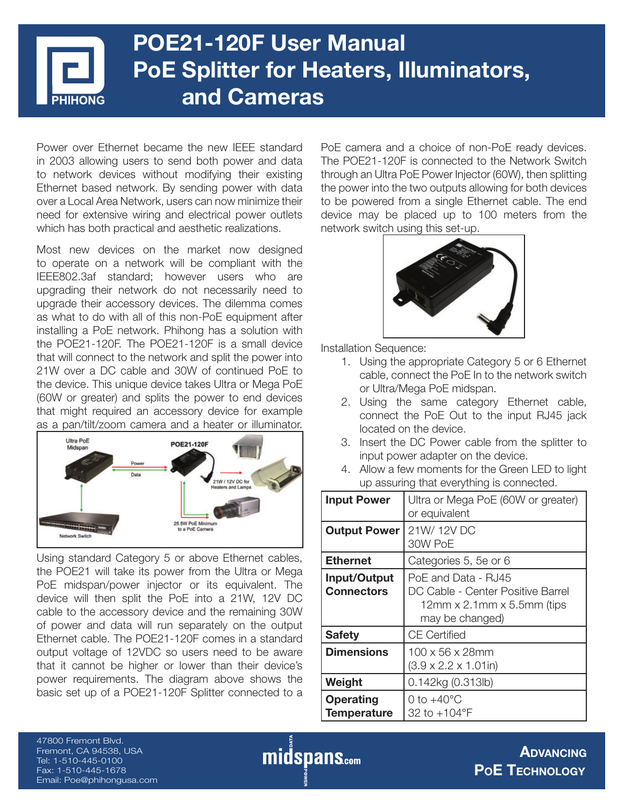# **POE21-120F User Manual PoE Splitter for Heaters, Illuminators, and Cameras**

Power over Ethernet became the new IEEE standard in 2003 allowing users to send both power and data to network devices without modifying their existing Ethernet based network. By sending power with data over a Local Area Network, users can now minimize their need for extensive wiring and electrical power outlets which has both practical and aesthetic realizations.

Most new devices on the market now designed to operate on a network will be compliant with the IEEE802.3af standard; however users who are upgrading their network do not necessarily need to upgrade their accessory devices. The dilemma comes as what to do with all of this non-PoE equipment after installing a PoE network. Phihong has a solution with the POE21-120F. The POE21-120F is a small device that will connect to the network and split the power into 21W over a DC cable and 30W of continued PoE to the device. This unique device takes Ultra or Mega PoE (60W or greater) and splits the power to end devices that might required an accessory device for example as a pan/tilt/zoom camera and a heater or illuminator.



Using standard Category 5 or above Ethernet cables, the POE21 will take its power from the Ultra or Mega PoE midspan/power injector or its equivalent. The device will then split the PoE into a 21W, 12V DC cable to the accessory device and the remaining 30W of power and data will run separately on the output Ethernet cable. The POE21-120F comes in a standard output voltage of 12VDC so users need to be aware that it cannot be higher or lower than their device's power requirements. The diagram above shows the basic set up of a POE21-120F Splitter connected to a PoE camera and a choice of non-PoE ready devices. The POE21-120F is connected to the Network Switch through an Ultra PoE Power Injector (60W), then splitting the power into the two outputs allowing for both devices to be powered from a single Ethernet cable. The end device may be placed up to 100 meters from the network switch using this set-up.



Installation Sequence:

- 1. Using the appropriate Category 5 or 6 Ethernet cable, connect the PoE In to the network switch or Ultra/Mega PoE midspan.
- 2. Using the same category Ethernet cable, connect the PoE Out to the input RJ45 jack located on the device.
- 3. Insert the DC Power cable from the splitter to input power adapter on the device.
- 4. Allow a few moments for the Green LED to light up assuring that everything is connected.

| <b>Input Power</b>                     | Ultra or Mega PoE (60W or greater)<br>or equivalent                                                                |
|----------------------------------------|--------------------------------------------------------------------------------------------------------------------|
| <b>Output Power</b>                    | 21W/12VDC<br>30W PoE                                                                                               |
| <b>Ethernet</b>                        | Categories 5, 5e or 6                                                                                              |
| Input/Output<br><b>Connectors</b>      | PoE and Data - RJ45<br>DC Cable - Center Positive Barrel<br>$12$ mm x $2.1$ mm x $5.5$ mm (tips<br>may be changed) |
| <b>Safety</b>                          | CE Certified                                                                                                       |
| <b>Dimensions</b>                      | 100 x 56 x 28mm<br>$(3.9 \times 2.2 \times 1.01)$ in)                                                              |
| Weight                                 | 0.142kg (0.313lb)                                                                                                  |
| <b>Operating</b><br><b>Temperature</b> | 0 to $+40^{\circ}$ C<br>32 to +104°F                                                                               |

47800 Fremont Blvd. Fremont, CA 94538, USA Tel: 1-510-445-0100 Fax: 1-510-445-1678 Email: Poe@phihongusa.com